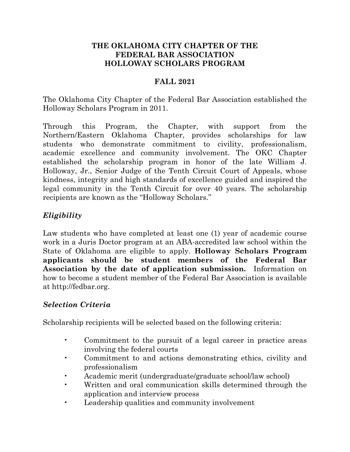#### **THE OKLAHOMA CITY CHAPTER OF THE FEDERAL BAR ASSOCIATION HOLLOWAY SCHOLARS PROGRAM**

#### **FALL 2021**

The Oklahoma City Chapter of the Federal Bar Association established the Holloway Scholars Program in 2011.

Through this Program, the Chapter, with support from the Northern/Eastern Oklahoma Chapter, provides scholarships for law students who demonstrate commitment to civility, professionalism, academic excellence and community involvement. The OKC Chapter established the scholarship program in honor of the late William J. Holloway, Jr., Senior Judge of the Tenth Circuit Court of Appeals, whose kindness, integrity and high standards of excellence guided and inspired the legal community in the Tenth Circuit for over 40 years. The scholarship recipients are known as the "Holloway Scholars."

### *Eligibility*

Law students who have completed at least one (1) year of academic course work in a Juris Doctor program at an ABA-accredited law school within the State of Oklahoma are eligible to apply. **Holloway Scholars Program applicants should be student members of the Federal Bar Association by the date of application submission.** Information on how to become a student member of the Federal Bar Association is available at http://fedbar.org.

# *Selection Criteria*

Scholarship recipients will be selected based on the following criteria:

- Commitment to the pursuit of a legal career in practice areas involving the federal courts
- Commitment to and actions demonstrating ethics, civility and professionalism
- Academic merit (undergraduate/graduate school/law school)
- Written and oral communication skills determined through the application and interview process
- Leadership qualities and community involvement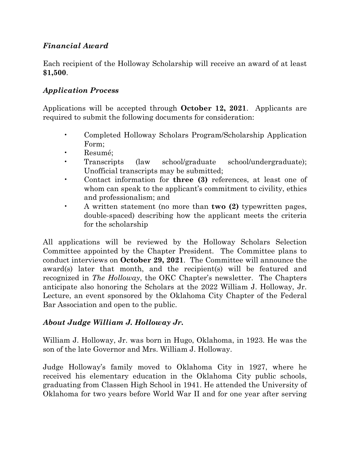# *Financial Award*

Each recipient of the Holloway Scholarship will receive an award of at least **\$1,500**.

# *Application Process*

Applications will be accepted through **October 12, 2021**. Applicants are required to submit the following documents for consideration:

- Completed Holloway Scholars Program/Scholarship Application Form;
- Resumé;
- Transcripts (law school/graduate school/undergraduate); Unofficial transcripts may be submitted;
- Contact information for **three (3)** references, at least one of whom can speak to the applicant's commitment to civility, ethics and professionalism; and
- A written statement (no more than **two (2)** typewritten pages, double-spaced) describing how the applicant meets the criteria for the scholarship

All applications will be reviewed by the Holloway Scholars Selection Committee appointed by the Chapter President. The Committee plans to conduct interviews on **October 29, 2021**. The Committee will announce the award(s) later that month, and the recipient(s) will be featured and recognized in *The Holloway*, the OKC Chapter's newsletter. The Chapters anticipate also honoring the Scholars at the 2022 William J. Holloway, Jr. Lecture, an event sponsored by the Oklahoma City Chapter of the Federal Bar Association and open to the public.

# *About Judge William J. Holloway Jr.*

William J. Holloway, Jr. was born in Hugo, Oklahoma, in 1923. He was the son of the late Governor and Mrs. William J. Holloway.

Judge Holloway's family moved to Oklahoma City in 1927, where he received his elementary education in the Oklahoma City public schools, graduating from Classen High School in 1941. He attended the University of Oklahoma for two years before World War II and for one year after serving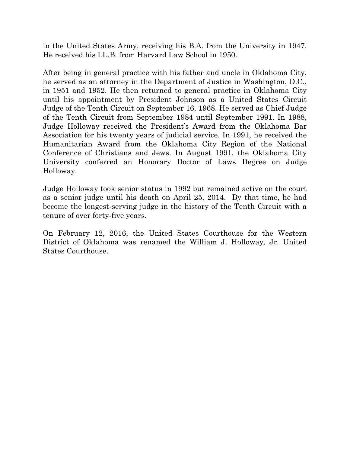in the United States Army, receiving his B.A. from the University in 1947. He received his LL.B. from Harvard Law School in 1950.

After being in general practice with his father and uncle in Oklahoma City, he served as an attorney in the Department of Justice in Washington, D.C., in 1951 and 1952. He then returned to general practice in Oklahoma City until his appointment by President Johnson as a United States Circuit Judge of the Tenth Circuit on September 16, 1968. He served as Chief Judge of the Tenth Circuit from September 1984 until September 1991. In 1988, Judge Holloway received the President's Award from the Oklahoma Bar Association for his twenty years of judicial service. In 1991, he received the Humanitarian Award from the Oklahoma City Region of the National Conference of Christians and Jews. In August 1991, the Oklahoma City University conferred an Honorary Doctor of Laws Degree on Judge Holloway.

Judge Holloway took senior status in 1992 but remained active on the court as a senior judge until his death on April 25, 2014. By that time, he had become the longest-serving judge in the history of the Tenth Circuit with a tenure of over forty-five years.

On February 12, 2016, the United States Courthouse for the Western District of Oklahoma was renamed the William J. Holloway, Jr. United States Courthouse.